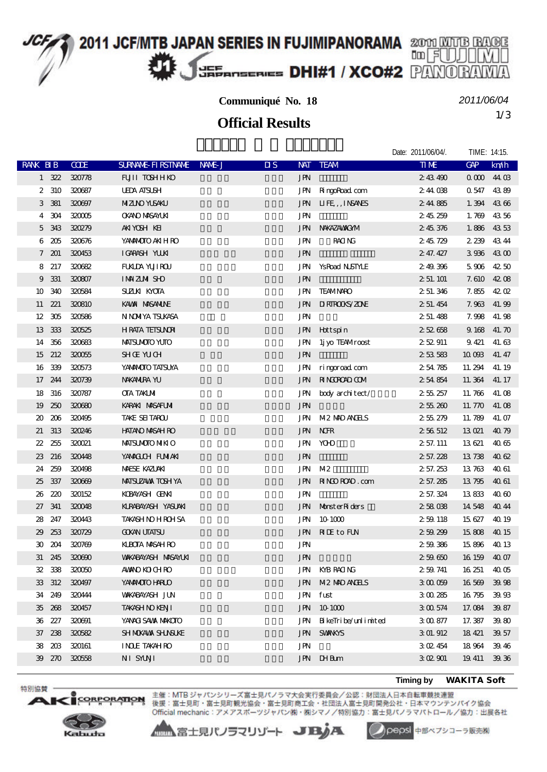## **2011 JCF/MTB JAPAN SERIES IN FUJIMIPANORAMA** 2001 MUTB RAGE JEF EFANSERIES **DHI#1 / XCO#2** PANO

**Communiqué No. 18**

1/3 **Official Results**

*2011/06/04*

Date: 2011/06/04/. TIME: 14:15.

|                 |            |               |                            |        |                                         |                                                | DAIG. ZU I I/VOIV4I. | $111V1L$ , $14.1J$ |             |
|-----------------|------------|---------------|----------------------------|--------|-----------------------------------------|------------------------------------------------|----------------------|--------------------|-------------|
| RANK BIB        |            | <b>CODE</b>   | <b>SURVANE FIRSTIVANE</b>  | NAME J | $\overline{\mathbf{u}}$ s<br><b>NAT</b> | <b>TEAM</b>                                    | <b>TIME</b>          | GAP                | km/h        |
|                 | $1 \, 322$ | 320778        | <b>FUILI TOSHHKO</b>       |        | <b>JPN</b>                              |                                                | 243490               | 00004403           |             |
| 2               | 310        | 320687        | <b>UEDA AISUSH</b>         |        | JPN                                     | RingoRoad com                                  | 244038               | 0547 4389          |             |
| 3               | 381        | 320697        | <b>MIZINO YUSAKU</b>       |        | JPN                                     | LIFE, , INSANES                                | 244885               |                    | 1.394 4366  |
| 4               | 304        | 320005        | <b>OKANO MASAYLKI</b>      |        | JPN                                     |                                                | 245259               |                    | 1.769 4356  |
| 5               | 343        | 320279        | AKIYOSH KEI                |        | JPN                                     | NWAZAWAXOM                                     | 245376               |                    | 1.886 4353  |
| 6               | 205        | 320676        | YANANOTO AKIH RO           |        | <b>JPN</b>                              | <b>RACING</b>                                  | 245729               | 2 239              | 4344        |
| $7\phantom{.0}$ | 201        | 320453        | IGARASH YUKI               |        | <b>JPN</b>                              |                                                | 2 47.427             |                    | 3936 4300   |
| 8               | 217        | 320682        | <b>FUKLDA YUJI ROU</b>     |        | JPN                                     | <b>YsRoad NSTYLE</b>                           | 249396               | 5906               | 42.50       |
| 9               | 331        | 320807        | <b>IMMZM SHO</b>           |        | <b>JPN</b>                              |                                                | 2 51 101             |                    | 7.610 42.08 |
| 10              | 340        | 320584        | <b>SUZUN KYOTA</b>         |        | JPN                                     | <b>TEAMINRO</b>                                | 2 51 346             |                    | 7.855 4202  |
| 11              | 221        | 320810        | KAWN MASANUNE              |        | JPN                                     | <b>II RIROKS/ZONE</b>                          | 2 51 454             |                    | 7.963 41.99 |
| 12              | 305        | 320586        | N NOMIYA TSUKASA           |        | <b>JPN</b>                              |                                                | 2 51 488             |                    | 7.998 41.98 |
| 13              | 333        | 320525        | <b>HRATA TEISUNRI</b>      |        | JPN                                     | Hottspin                                       | 252658               | 9 168              | 41.70       |
| 14              | 356        | 320683        | MAISUMOTO YUTO             |        | JPN                                     | 1j yo TEAMroost                                | 252911               | 9421               | 41.63       |
| 15              | 212        | 320055        | <b>SHOE YUCH</b>           |        | <b>JPN</b>                              |                                                | 253583               | 10 093             | 41.47       |
| 16              | 339        | 320573        | YANMOTO TATSUYA            |        | JPN                                     | ringgroad com                                  | 254785               | 11.294             | 41.19       |
| 17              | 244        | 320739        | <b>NAKANIRA YU</b>         |        | JPN                                     | RINGGROAD COM                                  | 254854               | 11.364 41.17       |             |
| 18              | 316        | 320787        | <b>CTA TAKIMI</b>          |        | JPN                                     | body architect/                                | 255257               | 11.766             | 41.08       |
| 19              | 250        | 320680        | KARAKI MASAFUMI            |        | <b>JPN</b>                              |                                                | 25520                | 11.770             | 41.08       |
| 20              | 206        | 320495        | TAKE SEITAROU              |        | JPN                                     | <b>M2 MD ANHS</b>                              | 255279               | 11.789             | 41.07       |
| 21              | 313        | 320246        | <b>HATANO MASAH RO</b>     |        | <b>JPN</b>                              | <b>NHR</b>                                     | 2 56 512             | 13 Q21             | 4079        |
| 22              | 255        | 320021        | MAISUMOTO NIKI O           |        | JPN                                     | ЮЮ                                             | 2 57.111             | 13621              | 4065        |
| 23              | 216        | 320448        | YAMACLOH FUMIAKI           |        | <b>JPN</b>                              |                                                | 2 57.228             | 13738              | 4062        |
| 24              | 259        | 320498        | <b>MESE KAZUAKI</b>        |        | JPN                                     | M2                                             | 2 57.253             | 13763              | 4061        |
| 25              | 337        | 320669        | <b>MAISUZAVA TOSH YA</b>   |        | JPN                                     | RINDROAD.com                                   | 2 57.285             | 13795              | 4061        |
| 26              | 220        | 320152        | KOBAYASH OENKI             |        | JPN                                     |                                                | 2 57.324             | 13833              | 4060        |
| 27              | 341        | 320048        | KLRABAYASH YASUAKI         |        | JPN                                     | Monster Riders                                 | 258038               | 14 548             | 4044        |
| 28              | 247        | 320443        | <b>TAKASH NO HROHSA</b>    |        | JPN                                     | 10 1000                                        | 259118               | 15 627             | 40 19       |
| 29              | 253        | 320729        | <b>GOKAN UTATSU</b>        |        | JPN                                     | <b>NIE</b> to FUN                              | 259299               | 15808              | 40 15       |
| 30              | 204        | 320769        | <b>KLBOTA MASAH RO</b>     |        | <b>JPN</b>                              |                                                | 259386               | 15896              | 40 13       |
| 31              | 245        | 320690        | <b>WAKABAYASH MASAYUKI</b> |        | <b>JPN</b>                              |                                                | 25960                | 16 15 9            | 4007        |
|                 |            | 32 338 320050 | AMANOKOCHRO                |        |                                         | JPN KYBRACING                                  | 2 59 741             | $16\,251$ $40\,05$ |             |
|                 | 33 312     | 320497        | YANANOTO HARLO             |        | JPN                                     | M <sub>2</sub> M <sub>D</sub> ANH <sub>S</sub> | 300009               | 16 569             | 39.98       |
|                 | 34 249     | 320444        | <b>WIKABAYASH JUN</b>      |        | JPN                                     | fust                                           | 3 00 285             | 16795              | 39.93       |
|                 | 35 268     | 320457        | TAKASH NO KENJI            |        | JPN                                     | 10 1000                                        | 3 00 574             | 17.084             | 39.87       |
|                 | 36 227     | 320691        | YANACI SAWA MAKOTO         |        | JPN                                     | BikeTribe/unlimited                            | 3 00 877             | 17.387             | 39.80       |
|                 | 37 238     | 320582        | SH MOKAWA SHUNSUKE         |        | JPN                                     | <b>SVANKYS</b>                                 | 3 01.912             | 18 421             | 39.57       |
| 38              | 203        | 320161        | <b>INDE TAKAH RO</b>       |        | <b>JPN</b>                              |                                                | 3 O 2454             | 18964              | 39.46       |
|                 | 39 270     | 320558        | NI SYUNI                   |        |                                         | JPN IHBum                                      | 302901               | 19, 411            | 39.36       |
|                 |            |               |                            |        |                                         |                                                |                      |                    |             |

**Timing by** *WAKITA Soft*



**ORPORATION** 

特別協賛·

 $\mathbf{A}$ 

主催:MTB ジャパンシリーズ富士見パノラマ大会実行委員会/公認:財団法人日本自転車競技連盟<br>後援:富士見町・富士見町観光協会・富士見町商工会・社団法人富士見町開発公社・日本マウンテンパイク協会 Official mechanic: アメアスポーツジャパン(株)・株シマノ/特別協力:富士見パノラマパトロール/協力:出展各社

▲▲富士見パノラマリゾート JBJA

pepsi 中部ペプシコーラ販売株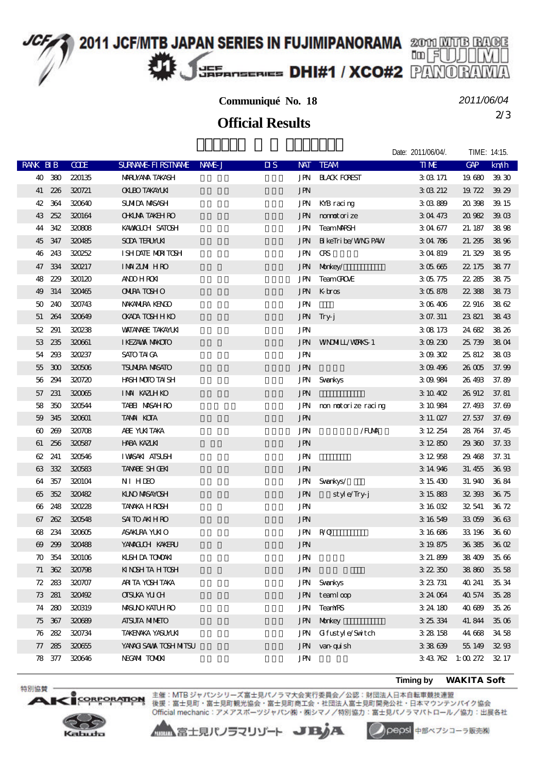#### 2011 JCF/MTB JAPAN SERIES IN FUJIMIPANORAMA 2000 MUTB BAGE 咖团 JEF EFANSERIES DHI#1 / XCO#2 PANO

#### **Communiqué No. 18**

*2011/06/04*

Date: 2011/06/04/. TIME: 14:15

2/3 **Official Results**

|                       |            |             |                           |        |                                         |                           | DAIC. ZU I 1/00/04/. | I INVIL. 14.13.   |       |
|-----------------------|------------|-------------|---------------------------|--------|-----------------------------------------|---------------------------|----------------------|-------------------|-------|
| <b>RANK BIB</b>       |            | <b>CODE</b> | <b>SURVANE FIRSTIVANE</b> | NAME J | $\overline{\mathbf{u}}$ s<br><b>NAT</b> | <b>TEAM</b>               | <b>TIME</b>          | GAP               | km/h  |
|                       | 40 380     | 220135      | <b>MRUYANA TAKASH</b>     |        | JPN                                     | <b>HACK FOREST</b>        | 303171               | 19680             | 39 30 |
|                       | 41 226     | 320721      | <b>OKLEO TAKAYLKI</b>     |        | <b>JPN</b>                              |                           | 3 03 212             | 19 722            | 39.29 |
| 42                    | 364        | 320640      | SUMIDA MASASH             |        | JPN                                     | KYB racing                | 303889               | 20398             | 39 15 |
| 43                    | 252        | 320164      | <b>OHUM TAKEH RO</b>      |        | JPN                                     | montorize                 | 304473               | 20982             | 390B  |
| 44                    | 342        | 320808      | KAWALCH SATOSH            |        | JPN                                     | <b>TeamMRSH</b>           | 304677               | 21.187            | 3898  |
| 45                    | 347        | 320485      | <b>SOA TERUMKI</b>        |        | JPN                                     | <b>B</b> keTri be/WNG PAW | 304786               | 21.295            | 3896  |
| 46                    | 243        | 320252      | I SH DATE MORTOSH         |        | JPN                                     | Œ                         | 304819               | 21.329            | 3895  |
| 47                    | 334        | 320217      | <b>IMAZMIHRO</b>          |        | JPN                                     | Morkey/                   | 305665               | 22 175            | 3877  |
| 48                    | 229        | 320120      | <b>ANDO HROKI</b>         |        | JPN                                     | TeamGROVE                 | 305775               | 22.285            | 3875  |
| 49                    | 314        | 320465      | <b>ONIRA TOSHO</b>        |        | JPN                                     | $K$ bros                  | 305878               | 22.388            | 3873  |
| 50                    | 240        | 320743      | NAKANIRA KENGO            |        | <b>JPN</b>                              |                           | 306406               | 22 916            | 3862  |
| 51                    | 264        | 320649      | <b>OKADA TOSHH KO</b>     |        | <b>JPN</b>                              | Tryj                      | 3 07.311             | 23 821            | 3843  |
| 52                    | 291        | 320238      | <b>VATANABE TAKAYUKI</b>  |        | JPN                                     |                           | 308173               | 24 682            | 38.26 |
| 53                    | 235        | 320661      | <b>I KEZAVAN NAKOTO</b>   |        | JPN                                     | <b>WNDMILL/WRKS-1</b>     | 309.230              | 25 739            | 3804  |
| 54                    | 293        | 320237      | <b>SATO TAI CA</b>        |        | <b>JPN</b>                              |                           | 309302               | 25812             | 38 03 |
| 55                    | 300        | 320506      | <b>TSUMIRA MSATO</b>      |        | <b>JPN</b>                              |                           | 3 09 49 6            | 26 OO             | 37.99 |
| 56                    | 294        | 320720      | HASH MOTO TAI SH          |        | JPN                                     | Svankys                   | 309984               | 26.493            | 37.89 |
| 57                    | 231        | 320065      | IMM KAZLHKO               |        | <b>JPN</b>                              |                           | 310402               | 26 912            | 37.81 |
| 58                    | 350        | 320544      | TABELI MASAH RO           |        | JPN                                     | mon motorize racing       | 3 10 984             | 27.498            | 37.69 |
| 59                    | 345        | 320601      | <b>TAMA KOTA</b>          |        | <b>JPN</b>                              |                           | 311.027              | 27.537            | 37.69 |
| $\omega$              | 269        | 320708      | ABE YUKITAKA              |        | JPN                                     | /FUMA                     | 3 12 254             | 28764             | 37.45 |
| 61                    | 256        | 320587      | <b>HABA KAZLKI</b>        |        | <b>JPN</b>                              |                           | 3 12 850             | 29.360            | 37.33 |
| 62                    | 241        | 320546      | <b>IWASAKI ATSUSH</b>     |        | <b>JPN</b>                              |                           | 3 12 958             | 29.468            | 37.31 |
| 63                    | 332        | 320583      | <b>TANNE SHOEK</b>        |        | <b>JPN</b>                              |                           | 3 14 946             | 31.455            | 36 93 |
| 64                    | 357        | 320104      | NI HIEO                   |        | JPN                                     | Svankys/                  | 3 15 430             | 31.940            | 3684  |
| 65                    | 352        | 320482      | <b>KLNO MASAYCSH</b>      |        | <b>JPN</b>                              | style/Try-j               | 3 15 883             | 32.393            | 3675  |
| 66                    | 248        | 320228      | <b>TANKA HROSH</b>        |        | <b>JPN</b>                              |                           | 3 16 032             | 32 541            | 3672  |
| 67                    | 262        | 320548      | <b>SAITO AKIHRO</b>       |        | <b>JPN</b>                              |                           | 3 16 549             | 33059             | 3663  |
| 68                    | 234        | 320005      | ASAKLRA YLKIO             |        | JPN                                     | R/O                       | 3 16 686             | 33 196            | 3660  |
| $\boldsymbol{\omega}$ | 299        | 320488      | YAMACLOH KAKERU           |        | <b>JPN</b>                              |                           | 3 19 875             | 36385             | 36Q   |
| 70                    | 354        | 320106      | KISH DA TOMOAKI           |        | <b>JPN</b>                              |                           | 3 21.899             | 38409             | 3566  |
|                       | $71 \t362$ | 320798      | <b>KINGHTA HTGH</b>       |        | <b>JPN</b>                              |                           | 3 22 350             | 38800             | 35.58 |
|                       | 72 283     | 320707      | ARITA YOSHTAKA            |        | <b>JPN</b>                              | <b>Svankys</b>            | 3 23 731             | 40 241            | 35.34 |
|                       | 73 281     | 320492      | <b>CISUKA YU CH</b>       |        | JPN                                     | teamloop                  | 3 24 064             | 40 574            | 35.28 |
| 74                    | 280        | 320319      | <b>MASUNO KATUH RO</b>    |        | JPN                                     | <b>TeamYRS</b>            | 3 24 180             | 40 689            | 35.26 |
|                       | 75 367     | 320689      | <b>AISUIA MIMEIO</b>      |        | <b>JPN</b>                              | Morkey                    | 3 25 334             | 41.844            | 35.06 |
|                       | 76 282     | 320734      | <b>TAKENAKA YASUMUKI</b>  |        | JPN                                     | Gifustyle/Switch          | 3 28 158             | 44.668            | 34 58 |
|                       | 77 285     | 320655      | YANACI SAWA TOSH NITISU   |        | JPN                                     | van qui sh                | 338639               | 55, 149           | 3293  |
|                       | 78 377     | 320646      | NECANI TOMOKI             |        | JPN                                     |                           |                      | 3 43 762 1:00 272 | 32.17 |
|                       |            |             |                           |        |                                         |                           |                      |                   |       |

**Timing by** *WAKITA Soft*



特別協賛·

**A**B

CORPORATION 主催:MTB ジャパンシリーズ富士見パノラマ大会実行委員会/公認:財団法人日本自転車競技連盟<br>CORPORATION 後援:富士見町・富士見町観光協会・富士見町商工会・社団法人富士見町開発公社・日本マウンテンパイク協会 Official mechanic: アメアスポーツジャパン(株)・株シマノ/特別協力:富士見パノラマパトロール/協力:出展各社

▲▲富士見パノラマリゾート JBjA



pepsi 中部ペプシコーラ販売株